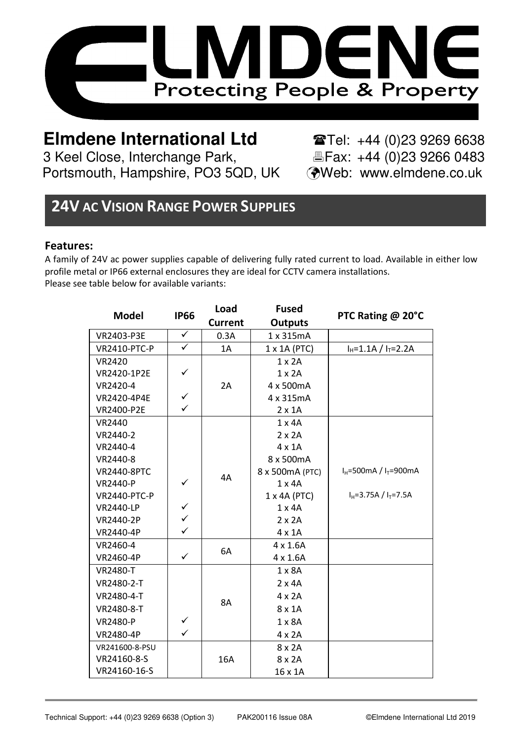

# **Elmdene International Ltd** Tel: +44 (0)23 9269 6638

3 Keel Close, Interchange Park,<br>Portsmouth, Hampshire, PO3 5QD, UK (Web: www.elmdene.co.uk Portsmouth, Hampshire, PO3 5QD, UK

## **24V AC VISION RANGE POWER SUPPLIES**

#### **Features:**

A family of 24V ac power supplies capable of delivering fully rated current to load. Available in either low profile metal or IP66 external enclosures they are ideal for CCTV camera installations. Please see table below for available variants:

| Model               | <b>IP66</b>  | Load      | <b>Fused</b>    | PTC Rating @ 20°C                           |
|---------------------|--------------|-----------|-----------------|---------------------------------------------|
|                     |              | Current   | <b>Outputs</b>  |                                             |
| VR2403-P3E          | ✓            | 0.3A      | 1 x 315mA       |                                             |
| <b>VR2410-PTC-P</b> | ✓            | 1A        | 1 x 1A (PTC)    | $I_H = 1.1A / I_T = 2.2A$                   |
| VR2420              |              |           | $1 \times 2A$   |                                             |
| VR2420-1P2E         | ✓            |           | $1 \times 2A$   |                                             |
| VR2420-4            |              | 2A        | 4 x 500mA       |                                             |
| VR2420-4P4E         | ✓            |           | 4 x 315mA       |                                             |
| VR2400-P2E          | ✓            |           | $2 \times 1$ A  |                                             |
| VR2440              |              |           | $1 \times 4A$   |                                             |
| VR2440-2            |              |           | $2 \times 2A$   |                                             |
| VR2440-4            |              |           | $4 \times 1$ A  |                                             |
| VR2440-8            |              |           | 8 x 500mA       |                                             |
| <b>VR2440-8PTC</b>  |              | 4A        | 8 x 500mA (PTC) | $I_H = 500 \text{mA} / I_T = 900 \text{mA}$ |
| VR2440-P            | ✓            |           | $1 \times 4A$   |                                             |
| <b>VR2440-PTC-P</b> |              |           | 1 x 4A (PTC)    | $I_H = 3.75A / I_T = 7.5A$                  |
| <b>VR2440-LP</b>    | ✓            |           | $1 \times 4A$   |                                             |
| VR2440-2P           | $\checkmark$ |           | $2 \times 2A$   |                                             |
| VR2440-4P           | ✓            |           | $4 \times 1$ A  |                                             |
| VR2460-4            |              | 6A        | $4 \times 1.6A$ |                                             |
| VR2460-4P           | ✓            |           | $4 \times 1.6A$ |                                             |
| <b>VR2480-T</b>     |              |           | $1 \times 8A$   |                                             |
| VR2480-2-T          |              |           | $2 \times 4A$   |                                             |
| VR2480-4-T          |              | <b>8A</b> | $4 \times 2A$   |                                             |
| VR2480-8-T          |              |           | 8 x 1A          |                                             |
| VR2480-P            | ✓            |           | 1 x 8A          |                                             |
| VR2480-4P           | $\checkmark$ |           | $4 \times 2A$   |                                             |
| VR241600-8-PSU      |              |           | 8 x 2A          |                                             |
| VR24160-8-S         |              | 16A       | 8 x 2A          |                                             |
| VR24160-16-S        |              |           | 16 x 1A         |                                             |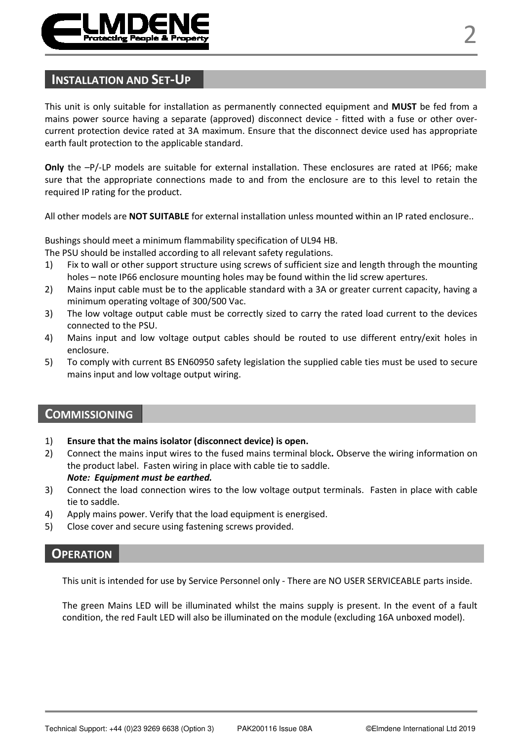

This unit is only suitable for installation as permanently connected equipment and **MUST** be fed from a mains power source having a separate (approved) disconnect device - fitted with a fuse or other overcurrent protection device rated at 3A maximum. Ensure that the disconnect device used has appropriate earth fault protection to the applicable standard.

**Only** the  $-P$ /-LP models are suitable for external installation. These enclosures are rated at IP66; make sure that the appropriate connections made to and from the enclosure are to this level to retain the required IP rating for the product.

All other models are **NOT SUITABLE** for external installation unless mounted within an IP rated enclosure..

Bushings should meet a minimum flammability specification of UL94 HB.

The PSU should be installed according to all relevant safety regulations.

- 1) Fix to wall or other support structure using screws of sufficient size and length through the mounting holes – note IP66 enclosure mounting holes may be found within the lid screw apertures.
- 2) Mains input cable must be to the applicable standard with a 3A or greater current capacity, having a minimum operating voltage of 300/500 Vac.
- 3) The low voltage output cable must be correctly sized to carry the rated load current to the devices connected to the PSU.
- 4) Mains input and low voltage output cables should be routed to use different entry/exit holes in enclosure.
- 5) To comply with current BS EN60950 safety legislation the supplied cable ties must be used to secure mains input and low voltage output wiring.

## **COMMISSIONING**

- 1) **Ensure that the mains isolator (disconnect device) is open.**
- 2) Connect the mains input wires to the fused mains terminal block**.** Observe the wiring information on the product label. Fasten wiring in place with cable tie to saddle. *Note: Equipment must be earthed.*
- 3) Connect the load connection wires to the low voltage output terminals. Fasten in place with cable tie to saddle.
- 4) Apply mains power. Verify that the load equipment is energised.
- 5) Close cover and secure using fastening screws provided.

#### **OPERATION**

This unit is intended for use by Service Personnel only - There are NO USER SERVICEABLE parts inside.

The green Mains LED will be illuminated whilst the mains supply is present. In the event of a fault condition, the red Fault LED will also be illuminated on the module (excluding 16A unboxed model).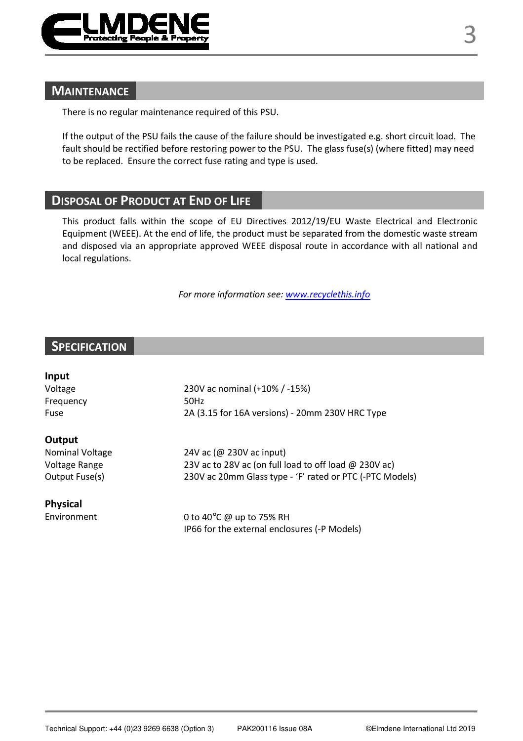

## **MAINTENANCE**

There is no regular maintenance required of this PSU.

If the output of the PSU fails the cause of the failure should be investigated e.g. short circuit load. The fault should be rectified before restoring power to the PSU. The glass fuse(s) (where fitted) may need to be replaced. Ensure the correct fuse rating and type is used.

## **DISPOSAL OF PRODUCT AT END OF LIFE**

This product falls within the scope of EU Directives 2012/19/EU Waste Electrical and Electronic Equipment (WEEE). At the end of life, the product must be separated from the domestic waste stream and disposed via an appropriate approved WEEE disposal route in accordance with all national and local regulations.

*For more information see: www.recyclethis.info*

## **SPECIFICATION**

| Input                  |                                                              |  |  |  |  |
|------------------------|--------------------------------------------------------------|--|--|--|--|
| Voltage                | 230V ac nominal (+10% / -15%)                                |  |  |  |  |
| Frequency              | 50Hz                                                         |  |  |  |  |
| Fuse                   | 2A (3.15 for 16A versions) - 20mm 230V HRC Type              |  |  |  |  |
| Output                 |                                                              |  |  |  |  |
| <b>Nominal Voltage</b> | 24V ac (@ 230V ac input)                                     |  |  |  |  |
| Voltage Range          | 23V ac to 28V ac (on full load to off load $\omega$ 230V ac) |  |  |  |  |
| Output Fuse(s)         | 230V ac 20mm Glass type - 'F' rated or PTC (-PTC Models)     |  |  |  |  |
| Physical               |                                                              |  |  |  |  |
| Environment            | 0 to 40°C @ up to 75% RH                                     |  |  |  |  |
|                        | IP66 for the external enclosures (-P Models)                 |  |  |  |  |